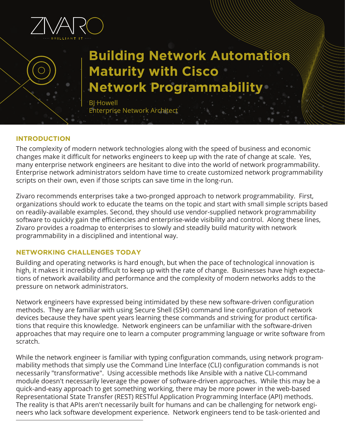

# **Building Network Automation Maturity with Cisco Network Programmability**

BJ Howell Enterprise Network Architect

#### **INTRODUCTION**

The complexity of modern network technologies along with the speed of business and economic changes make it difficult for networks engineers to keep up with the rate of change at scale. Yes, many enterprise network engineers are hesitant to dive into the world of network programmability. Enterprise network administrators seldom have time to create customized network programmability scripts on their own, even if those scripts can save time in the long-run.

Zivaro recommends enterprises take a two-pronged approach to network programmability. First, organizations should work to educate the teams on the topic and start with small simple scripts based on readily-available examples. Second, they should use vendor-supplied network programmability software to quickly gain the efficiencies and enterprise-wide visibility and control. Along these lines, Zivaro provides a roadmap to enterprises to slowly and steadily build maturity with network programmability in a disciplined and intentional way.

#### **NETWORKING CHALLENGES TODAY**

Building and operating networks is hard enough, but when the pace of technological innovation is high, it makes it incredibly difficult to keep up with the rate of change. Businesses have high expectations of network availability and performance and the complexity of modern networks adds to the pressure on network administrators.

Network engineers have expressed being intimidated by these new software-driven configuration methods. They are familiar with using Secure Shell (SSH) command line configuration of network devices because they have spent years learning these commands and striving for product certifications that require this knowledge. Network engineers can be unfamiliar with the software-driven approaches that may require one to learn a computer programming language or write software from scratch.

While the network engineer is familiar with typing configuration commands, using network programmability methods that simply use the Command Line Interface (CLI) configuration commands is not necessarily "transformative". Using accessible methods like Ansible with a native CLI-command module doesn't necessarily leverage the power of software-driven approaches. While this may be a quick-and-easy approach to get something working, there may be more power in the web-based Representational State Transfer (REST) RESTful Application Programming Interface (API) methods. The reality is that APIs aren't necessarily built for humans and can be challenging for network engineers who lack software development experience. Network engineers tend to be task-oriented and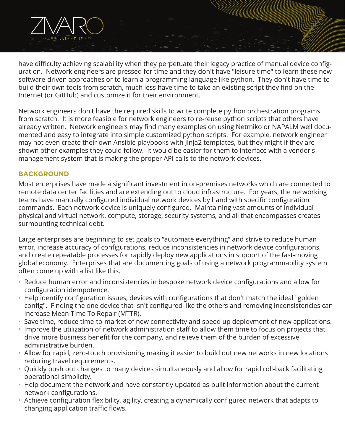have difficulty achieving scalability when they perpetuate their legacy practice of manual device configuration. Network engineers are pressed for time and they don't have "leisure time" to learn these new software-driven approaches or to learn a programming language like python. They don't have time to build their own tools from scratch, much less have time to take an existing script they find on the Internet (or GitHub) and customize it for their environment.

Network engineers don't have the required skills to write complete python orchestration programs from scratch. It is more feasible for network engineers to re-reuse python scripts that others have already written. Network engineers may find many examples on using Netmiko or NAPALM well documented and easy to integrate into simple customized python scripts. For example, network engineer may not even create their own Ansible playbooks with Jinja2 templates, but they might if they are shown other examples they could follow. It would be easier for them to interface with a vendor's management system that is making the proper API calls to the network devices.

#### **BACKGROUND**

Most enterprises have made a significant investment in on-premises networks which are connected to remote data center facilities and are extending out to cloud infrastructure. For years, the networking teams have manually configured individual network devices by hand with specific configuration commands. Each network device is uniquely configured. Maintaining vast amounts of individual physical and virtual network, compute, storage, security systems, and all that encompasses creates surmounting technical debt.

Large enterprises are beginning to set goals to "automate everything" and strive to reduce human error, increase accuracy of configurations, reduce inconsistencies in network device configurations, and create repeatable processes for rapidly deploy new applications in support of the fast-moving global economy. Enterprises that are documenting goals of using a network programmability system often come up with a list like this.

- Reduce human error and inconsistencies in bespoke network device configurations and allow for configuration idempotence.
- Help identify configuration issues, devices with configurations that don't match the ideal "golden config". Finding the one device that isn't configured like the others and removing inconsistencies can increase Mean Time To Repair (MTTR).
- Save time, reduce time-to-market of new connectivity and speed up deployment of new applications.
- Improve the utilization of network administration staff to allow them time to focus on projects that drive more business benefit for the company, and relieve them of the burden of excessive administrative burden.
- Allow for rapid, zero-touch provisioning making it easier to build out new networks in new locations reducing travel requirements.
- Quickly push out changes to many devices simultaneously and allow for rapid roll-back facilitating operational simplicity.
- Help document the network and have constantly updated as-built information about the current network configurations.
- Achieve configuration flexibility, agility, creating a dynamically configured network that adapts to changing application traffic flows.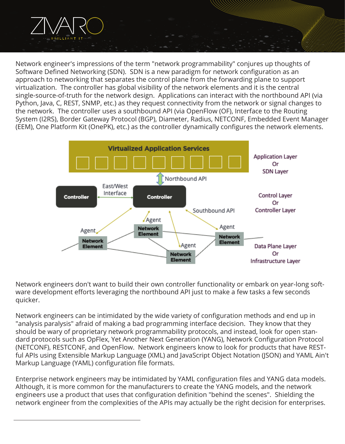Network engineer's impressions of the term "network programmability" conjures up thoughts of Software Defined Networking (SDN). SDN is a new paradigm for network configuration as an approach to networking that separates the control plane from the forwarding plane to support virtualization. The controller has global visibility of the network elements and it is the central single-source-of-truth for the network design. Applications can interact with the northbound API (via Python, Java, C, REST, SNMP, etc.) as they request connectivity from the network or signal changes to the network. The controller uses a southbound API (via OpenFlow (OF), Interface to the Routing System (I2RS), Border Gateway Protocol (BGP), Diameter, Radius, NETCONF, Embedded Event Manager (EEM), One Platform Kit (OnePK), etc.) as the controller dynamically configures the network elements.



Network engineers don't want to build their own controller functionality or embark on year-long software development efforts leveraging the northbound API just to make a few tasks a few seconds quicker.

Network engineers can be intimidated by the wide variety of configuration methods and end up in "analysis paralysis" afraid of making a bad programming interface decision. They know that they should be wary of proprietary network programmability protocols, and instead, look for open standard protocols such as OpFlex, Yet Another Next Generation (YANG), Network Configuration Protocol (NETCONF), RESTCONF, and OpenFlow. Network engineers know to look for products that have RESTful APIs using Extensible Markup Language (XML) and JavaScript Object Notation (JSON) and YAML Ain't Markup Language (YAML) configuration file formats.

Enterprise network engineers may be intimidated by YAML configuration files and YANG data models. Although, it is more common for the manufacturers to create the YANG models, and the network engineers use a product that uses that configuration definition "behind the scenes". Shielding the network engineer from the complexities of the APIs may actually be the right decision for enterprises.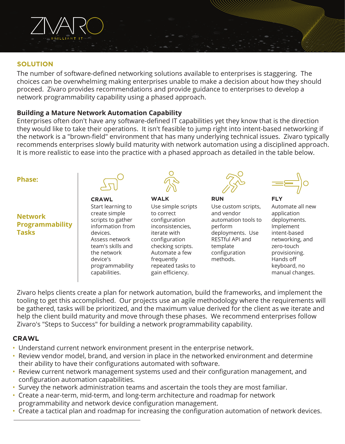

#### **SOLUTION**

The number of software-defined networking solutions available to enterprises is staggering. The choices can be overwhelming making enterprises unable to make a decision about how they should proceed. Zivaro provides recommendations and provide guidance to enterprises to develop a network programmability capability using a phased approach.

#### **Building a Mature Network Automation Capability**

Enterprises often don't have any software-defined IT capabilities yet they know that is the direction they would like to take their operations. It isn't feasible to jump right into intent-based networking if the network is a "brown-field" environment that has many underlying technical issues. Zivaro typically recommends enterprises slowly build maturity with network automation using a disciplined approach. It is more realistic to ease into the practice with a phased approach as detailed in the table below.

#### **Phase:**

## **Network Programmability Tasks**



Start learning to create simple scripts to gather information from devices. Assess network team's skills and the network device's programmability capabilities.



**CRAWL WALK RUN FLY** Use simple scripts to correct configuration inconsistencies, iterate with configuration checking scripts. Automate a few frequently repeated tasks to gain efficiency.

Use custom scripts, and vendor automation tools to perform deployments. Use RESTful API and template configuration methods.

Automate all new application deployments. Implement intent-based networking, and zero-touch provisioning. Hands off keyboard, no manual changes.

Zivaro helps clients create a plan for network automation, build the frameworks, and implement the tooling to get this accomplished. Our projects use an agile methodology where the requirements will be gathered, tasks will be prioritized, and the maximum value derived for the client as we iterate and help the client build maturity and move through these phases. We recommend enterprises follow Zivaro's "Steps to Success" for building a network programmability capability.

#### **CRAWL**

- Understand current network environment present in the enterprise network.
- Review vendor model, brand, and version in place in the networked environment and determine their ability to have their configurations automated with software.
- Review current network management systems used and their configuration management, and configuration automation capabilities.
- Survey the network administration teams and ascertain the tools they are most familiar.
- Create a near-term, mid-term, and long-term architecture and roadmap for network programmability and network device configuration management.
- Create a tactical plan and roadmap for increasing the configuration automation of network devices.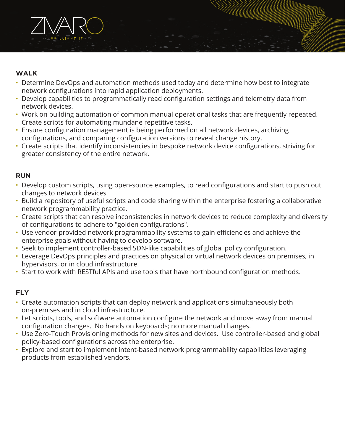

## **WALK**

- Determine DevOps and automation methods used today and determine how best to integrate network configurations into rapid application deployments.
- Develop capabilities to programmatically read configuration settings and telemetry data from network devices.
- Work on building automation of common manual operational tasks that are frequently repeated. Create scripts for automating mundane repetitive tasks.
- Ensure configuration management is being performed on all network devices, archiving configurations, and comparing configuration versions to reveal change history.
- Create scripts that identify inconsistencies in bespoke network device configurations, striving for greater consistency of the entire network.

# **RUN**

- Develop custom scripts, using open-source examples, to read configurations and start to push out changes to network devices.
- Build a repository of useful scripts and code sharing within the enterprise fostering a collaborative network programmability practice.
- Create scripts that can resolve inconsistencies in network devices to reduce complexity and diversity of configurations to adhere to "golden configurations".
- Use vendor-provided network programmability systems to gain efficiencies and achieve the enterprise goals without having to develop software.
- Seek to implement controller-based SDN-like capabilities of global policy configuration.
- Leverage DevOps principles and practices on physical or virtual network devices on premises, in hypervisors, or in cloud infrastructure.
- Start to work with RESTful APIs and use tools that have northbound configuration methods.

# **FLY**

- Create automation scripts that can deploy network and applications simultaneously both on-premises and in cloud infrastructure.
- Let scripts, tools, and software automation configure the network and move away from manual configuration changes. No hands on keyboards; no more manual changes.
- Use Zero-Touch Provisioning methods for new sites and devices. Use controller-based and global policy-based configurations across the enterprise.
- Explore and start to implement intent-based network programmability capabilities leveraging products from established vendors.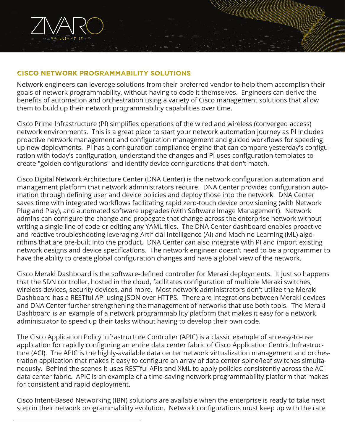

#### **CISCO NETWORK PROGRAMMABILITY SOLUTIONS**

Network engineers can leverage solutions from their preferred vendor to help them accomplish their goals of network programmability, without having to code it themselves. Engineers can derive the benefits of automation and orchestration using a variety of Cisco management solutions that allow them to build up their network programmability capabilities over time.

Cisco Prime Infrastructure (PI) simplifies operations of the wired and wireless (converged access) network environments. This is a great place to start your network automation journey as PI includes proactive network management and configuration management and guided workflows for speeding up new deployments. PI has a configuration compliance engine that can compare yesterday's configuration with today's configuration, understand the changes and PI uses configuration templates to create "golden configurations" and identify device configurations that don't match.

Cisco Digital Network Architecture Center (DNA Center) is the network configuration automation and management platform that network administrators require. DNA Center provides configuration automation through defining user and device policies and deploy those into the network. DNA Center saves time with integrated workflows facilitating rapid zero-touch device provisioning (with Network Plug and Play), and automated software upgrades (with Software Image Management). Network admins can configure the change and propagate that change across the enterprise network without writing a single line of code or editing any YAML files. The DNA Center dashboard enables proactive and reactive troubleshooting leveraging Artificial Intelligence (AI) and Machine Learning (ML) algorithms that are pre-built into the product. DNA Center can also integrate with PI and import existing network designs and device specifications. The network engineer doesn't need to be a programmer to have the ability to create global configuration changes and have a global view of the network.

Cisco Meraki Dashboard is the software-defined controller for Meraki deployments. It just so happens that the SDN controller, hosted in the cloud, facilitates configuration of multiple Meraki switches, wireless devices, security devices, and more. Most network administrators don't utilize the Meraki Dashboard has a RESTful API using JSON over HTTPS. There are integrations between Meraki devices and DNA Center further strengthening the management of networks that use both tools. The Meraki Dashboard is an example of a network programmability platform that makes it easy for a network administrator to speed up their tasks without having to develop their own code.

The Cisco Application Policy Infrastructure Controller (APIC) is a classic example of an easy-to-use application for rapidly configuring an entire data center fabric of Cisco Application Centric Infrastructure (ACI). The APIC is the highly-available data center network virtualization management and orchestration application that makes it easy to configure an array of data center spine/leaf switches simultaneously. Behind the scenes it uses RESTful APIs and XML to apply policies consistently across the ACI data center fabric. APIC is an example of a time-saving network programmability platform that makes for consistent and rapid deployment.

Cisco Intent-Based Networking (IBN) solutions are available when the enterprise is ready to take next step in their network programmability evolution. Network configurations must keep up with the rate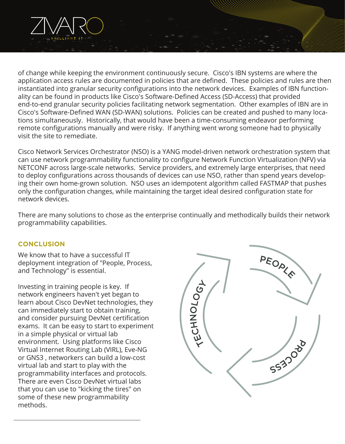

Cisco Network Services Orchestrator (NSO) is a YANG model-driven network orchestration system that can use network programmability functionality to configure Network Function Virtualization (NFV) via NETCONF across large-scale networks. Service providers, and extremely large enterprises, that need to deploy configurations across thousands of devices can use NSO, rather than spend years developing their own home-grown solution. NSO uses an idempotent algorithm called FASTMAP that pushes only the configuration changes, while maintaining the target ideal desired configuration state for network devices.

There are many solutions to chose as the enterprise continually and methodically builds their network programmability capabilities.

#### **CONCLUSION**

We know that to have a successful IT deployment integration of "People, Process, and Technology" is essential.

Investing in training people is key. If network engineers haven't yet began to learn about Cisco DevNet technologies, they can immediately start to obtain training, and consider pursuing DevNet certification exams. It can be easy to start to experiment in a simple physical or virtual lab environment. Using platforms like Cisco Virtual Internet Routing Lab (VIRL), Eve-NG or GNS3 , networkers can build a low-cost virtual lab and start to play with the programmability interfaces and protocols. There are even Cisco DevNet virtual labs that you can use to "kicking the tires" on some of these new programmability methods.

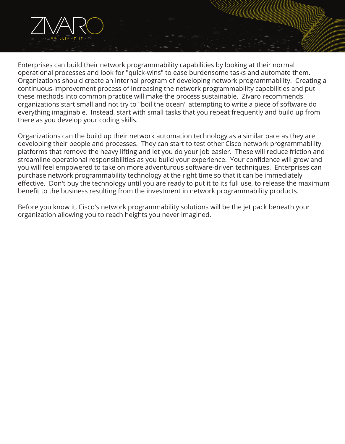

Enterprises can build their network programmability capabilities by looking at their normal operational processes and look for "quick-wins" to ease burdensome tasks and automate them. Organizations should create an internal program of developing network programmability. Creating a continuous-improvement process of increasing the network programmability capabilities and put these methods into common practice will make the process sustainable. Zivaro recommends organizations start small and not try to "boil the ocean" attempting to write a piece of software do everything imaginable. Instead, start with small tasks that you repeat frequently and build up from there as you develop your coding skills.

Organizations can the build up their network automation technology as a similar pace as they are developing their people and processes. They can start to test other Cisco network programmability platforms that remove the heavy lifting and let you do your job easier. These will reduce friction and streamline operational responsibilities as you build your experience. Your confidence will grow and you will feel empowered to take on more adventurous software-driven techniques. Enterprises can purchase network programmability technology at the right time so that it can be immediately effective. Don't buy the technology until you are ready to put it to its full use, to release the maximum benefit to the business resulting from the investment in network programmability products.

Before you know it, Cisco's network programmability solutions will be the jet pack beneath your organization allowing you to reach heights you never imagined.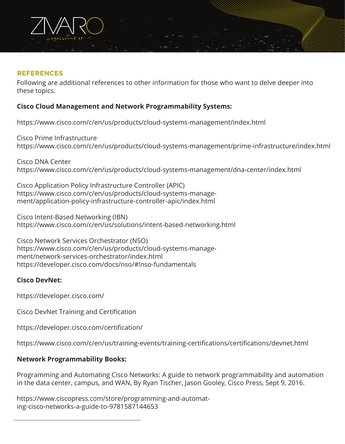

#### **REFERENCES**

Following are additional references to other information for those who want to delve deeper into these topics.

## **Cisco Cloud Management and Network Programmability Systems:**

https://www.cisco.com/c/en/us/products/cloud-systems-management/index.html

Cisco Prime Infrastructure https://www.cisco.com/c/en/us/products/cloud-systems-management/prime-infrastructure/index.html

Cisco DNA Center https://www.cisco.com/c/en/us/products/cloud-systems-management/dna-center/index.html

Cisco Application Policy Infrastructure Controller (APIC) https://www.cisco.com/c/en/us/products/cloud-systems-management/application-policy-infrastructure-controller-apic/index.html

Cisco Intent-Based Networking (IBN) https://www.cisco.com/c/en/us/solutions/intent-based-networking.html

Cisco Network Services Orchestrator (NSO) https://www.cisco.com/c/en/us/products/cloud-systems-management/network-services-orchestrator/index.html https://developer.cisco.com/docs/nso/#!nso-fundamentals

#### **Cisco DevNet:**

https://developer.cisco.com/

Cisco DevNet Training and Certification

https://developer.cisco.com/certification/

https://www.cisco.com/c/en/us/training-events/training-certifications/certifications/devnet.html

#### **Network Programmability Books:**

Programming and Automating Cisco Networks: A guide to network programmability and automation in the data center, campus, and WAN, By Ryan Tischer, Jason Gooley, Cisco Press, Sept 9, 2016.

https://www.ciscopress.com/store/programming-and-automating-cisco-networks-a-guide-to-9781587144653